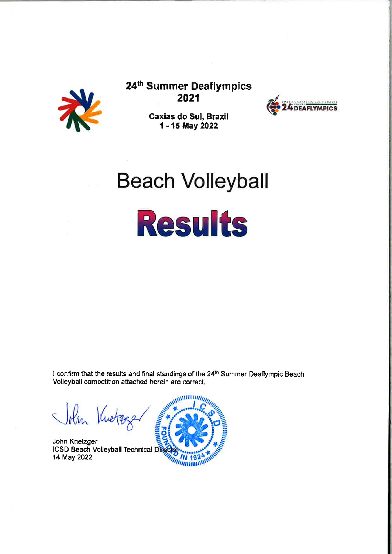

24th Summer Deaflympics 2021



Caxias do Sul, Brazil 1 - 15 May 2022

# **Beach Volleyball**



I confirm that the results and final standings of the 24th Summer Deaflympic Beach Volleyball competition attached herein are correct.

John Kuetz

John Knetzger ICSD Beach Volleyball Technical Dig 14 May 2022

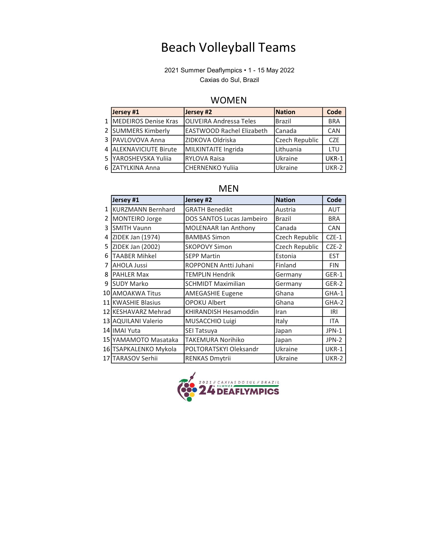## Beach Volleyball Teams

2021 Summer Deaflympics • 1 - 15 May 2022 Caxias do Sul, Brazil

#### WOMEN

| Jersey #1              | Jersey #2                        | <b>Nation</b>  | Code       |
|------------------------|----------------------------------|----------------|------------|
| 1 MEDEIROS Denise Kras | <b>OLIVEIRA Andressa Teles</b>   | Brazil         | <b>BRA</b> |
| 2 SUMMERS Kimberly     | <b>EASTWOOD Rachel Elizabeth</b> | Canada         | CAN        |
| 3 PAVLOVOVA Anna       | ZIDKOVA Oldriska                 | Czech Republic | CZF        |
| 4 ALEKNAVICIUTE Birute | MILKINTAITE Ingrida              | Lithuania      | <b>LTU</b> |
| 5 YAROSHEVSKA Yulija   | <b>IRYLOVA Raisa</b>             | Ukraine        | UKR-1      |
| 6 ZATYLKINA Anna       | CHERNENKO Yuliia                 | Ukraine        | UKR-2      |

|    | Jersey #1                | Jersey #2                   | <b>Nation</b>  | Code         |
|----|--------------------------|-----------------------------|----------------|--------------|
| 1  | <b>KURZMANN Bernhard</b> | <b>GRATH Benedikt</b>       | Austria        | <b>AUT</b>   |
| 2  | <b>MONTEIRO Jorge</b>    | DOS SANTOS Lucas Jambeiro   | Brazil         | <b>BRA</b>   |
| 3  | <b>SMITH Vaunn</b>       | <b>MOLENAAR Ian Anthony</b> | Canada         | <b>CAN</b>   |
| 4  | ZIDEK Jan (1974)         | <b>BAMBAS Simon</b>         | Czech Republic | $CZE-1$      |
| 5. | ZIDEK Jan (2002)         | <b>SKOPOVY Simon</b>        | Czech Republic | $CZE-2$      |
| 6  | <b>TAABER Mihkel</b>     | <b>SEPP Martin</b>          | Estonia        | <b>EST</b>   |
| 7  | <b>AHOLA Jussi</b>       | ROPPONEN Antti Juhani       | Finland        | <b>FIN</b>   |
| 8  | <b>PAHLER Max</b>        | <b>TEMPLIN Hendrik</b>      | Germany        | GER-1        |
| 9  | <b>SUDY Marko</b>        | <b>SCHMIDT Maximilian</b>   | Germany        | GER-2        |
|    | 10 AMOAKWA Titus         | <b>AMEGASHIE Eugene</b>     | Ghana          | GHA-1        |
|    | 11 KWASHIE Blasius       | <b>OPOKU Albert</b>         | Ghana          | GHA-2        |
|    | 12 KESHAVARZ Mehrad      | KHIRANDISH Hesamoddin       | Iran           | <b>IRI</b>   |
|    | 13 AQUILANI Valerio      | MUSACCHIO Luigi             | Italy          | <b>ITA</b>   |
|    | 14 IMAI Yuta             | SEI Tatsuya                 | Japan          | JPN-1        |
|    | 15 YAMAMOTO Masataka     | <b>TAKEMURA Norihiko</b>    | Japan          | JPN-2        |
|    | 16 TSAPKALENKO Mykola    | POLTORATSKYI Oleksandr      | Ukraine        | <b>UKR-1</b> |
|    | 17 TARASOV Serhii        | <b>RENKAS Dmytrii</b>       | Ukraine        | <b>UKR-2</b> |

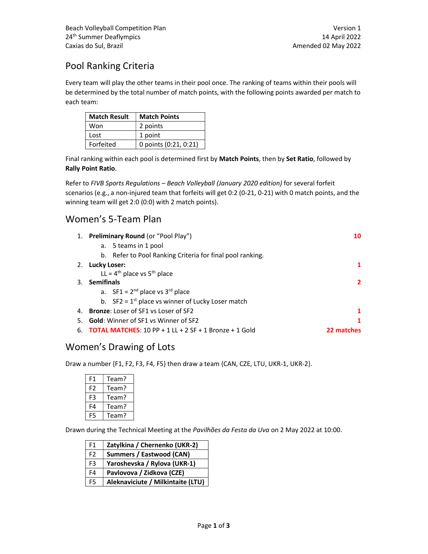## Pool Ranking Criteria

Every team will play the other teams in their pool once. The ranking of teams within their pools will be determined by the total number of match points, with the following points awarded per match to each team:

| <b>Match Result</b> | <b>Match Points</b>   |  |  |
|---------------------|-----------------------|--|--|
| Won                 | 2 points              |  |  |
| Lost                | 1 point               |  |  |
| Forfeited           | 0 points (0:21, 0:21) |  |  |

Final ranking within each pool is determined first by Match Points, then by Set Ratio, followed by Rally Point Ratio.

Refer to FIVB Sports Regulations – Beach Volleyball (January 2020 edition) for several forfeit scenarios (e.g., a non-injured team that forfeits will get 0:2 (0-21, 0-21) with 0 match points, and the winning team will get 2:0 (0:0) with 2 match points).

#### Women's 5-Team Plan

|    | 1. Preliminary Round (or "Pool Play")                         | 10       |
|----|---------------------------------------------------------------|----------|
|    | a. 5 teams in 1 pool                                          |          |
|    | b. Refer to Pool Ranking Criteria for final pool ranking.     |          |
|    | 2. Lucky Loser:                                               |          |
|    | LL = $4^{th}$ place vs $5^{th}$ place                         |          |
|    | 3. Semifinals                                                 | 2        |
|    | a. $SF1 = 2^{nd}$ place vs 3 <sup>rd</sup> place              |          |
|    | b. $SF2 = 1^{st}$ place vs winner of Lucky Loser match        |          |
|    | 4. Bronze: Loser of SF1 vs Loser of SF2                       |          |
| 5. | <b>Gold:</b> Winner of SF1 vs Winner of SF2                   |          |
| 6. | <b>TOTAL MATCHES:</b> 10 PP + 1 LL + 2 SF + 1 Bronze + 1 Gold | 22 matri |

#### Women's Drawing of Lots

Draw a number {F1, F2, F3, F4, F5} then draw a team {CAN, CZE, LTU, UKR-1, UKR-2}.

| F1 | Team? |
|----|-------|
| F2 | Team? |
| F3 | Team? |
| F4 | Team? |
| F5 | Team? |

Drawn during the Technical Meeting at the Pavilhões da Festa da Uva on 2 May 2022 at 10:00.

| F1             | Zatylkina / Chernenko (UKR-2)     |
|----------------|-----------------------------------|
| F <sub>2</sub> | <b>Summers / Eastwood (CAN)</b>   |
| F <sub>3</sub> | Yaroshevska / Rylova (UKR-1)      |
| F4             | Pavlovova / Zidkova (CZE)         |
| F <sub>5</sub> | Aleknaviciute / Milkintaite (LTU) |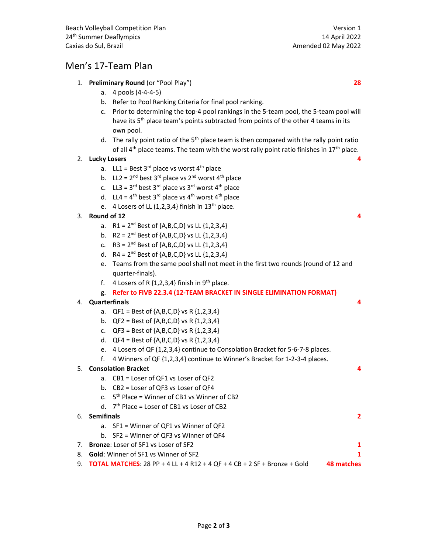#### Men's 17-Team Plan

- 1. Preliminary Round (or "Pool Play") 28
	- a. 4 pools (4-4-4-5)
	- b. Refer to Pool Ranking Criteria for final pool ranking.
	- c. Prior to determining the top-4 pool rankings in the 5-team pool, the 5-team pool will have its 5<sup>th</sup> place team's points subtracted from points of the other 4 teams in its own pool.
	- d. The rally point ratio of the  $5<sup>th</sup>$  place team is then compared with the rally point ratio of all  $4<sup>th</sup>$  place teams. The team with the worst rally point ratio finishes in  $17<sup>th</sup>$  place.

#### 2. Lucky Losers 4

- a. LL1 = Best 3<sup>rd</sup> place vs worst 4<sup>th</sup> place
- b. LL2 =  $2^{nd}$  best  $3^{rd}$  place vs  $2^{nd}$  worst  $4^{th}$  place
- c. LL3 =  $3^{rd}$  best  $3^{rd}$  place vs  $3^{rd}$  worst  $4^{th}$  place
- d. LL4 =  $4^{th}$  best 3<sup>rd</sup> place vs  $4^{th}$  worst  $4^{th}$  place
- e. 4 Losers of LL  $(1,2,3,4)$  finish in  $13<sup>th</sup>$  place.

#### $3.$  Round of 12  $\overline{4}$

- a.  $R1 = 2^{nd}$  Best of  $\{A, B, C, D\}$  vs LL  $\{1, 2, 3, 4\}$
- b.  $R2 = 2^{nd}$  Best of  $\{A, B, C, D\}$  vs LL  $\{1, 2, 3, 4\}$
- c.  $R3 = 2^{nd}$  Best of  $\{A, B, C, D\}$  vs LL  $\{1, 2, 3, 4\}$
- d.  $R4 = 2^{nd}$  Best of  $\{A, B, C, D\}$  vs LL  $\{1, 2, 3, 4\}$
- e. Teams from the same pool shall not meet in the first two rounds (round of 12 and quarter-finals).
- f. 4 Losers of R  $\{1,2,3,4\}$  finish in 9<sup>th</sup> place.
- g. Refer to FIVB 22.3.4 (12-TEAM BRACKET IN SINGLE ELIMINATION FORMAT)

#### 4. Quarterfinals 4

- a.  $QF1 = Best of {A,B,C,D} vs R {1,2,3,4}$
- b.  $QF2 = Best of {A,B,C,D} vs R {1,2,3,4}$
- c.  $QF3 = Best of {A,B,C,D} vs R {1,2,3,4}$
- d.  $QF4 = Best of {A,B,C,D} vs R {1,2,3,4}$
- e. 4 Losers of QF (1,2,3,4} continue to Consolation Bracket for 5-6-7-8 places.
- f. 4 Winners of QF {1,2,3,4} continue to Winner's Bracket for 1-2-3-4 places.

#### 5. Consolation Bracket 4

- a. CB1 = Loser of QF1 vs Loser of QF2
- b. CB2 = Loser of QF3 vs Loser of QF4
- c.  $5<sup>th</sup>$  Place = Winner of CB1 vs Winner of CB2
- d. 7 th Place = Loser of CB1 vs Loser of CB2
- 6. Semifinals 2
	- a. SF1 = Winner of QF1 vs Winner of QF2
	- b. SF2 = Winner of QF3 vs Winner of QF4
- 7. **Bronze:** Loser of SF1 vs Loser of SF2 1
- 8. **Gold:** Winner of SF1 vs Winner of SF2 1
- 9. **TOTAL MATCHES**: 28 PP + 4 LL + 4 R12 + 4 QF + 4 CB + 2 SF + Bronze + Gold 48 matches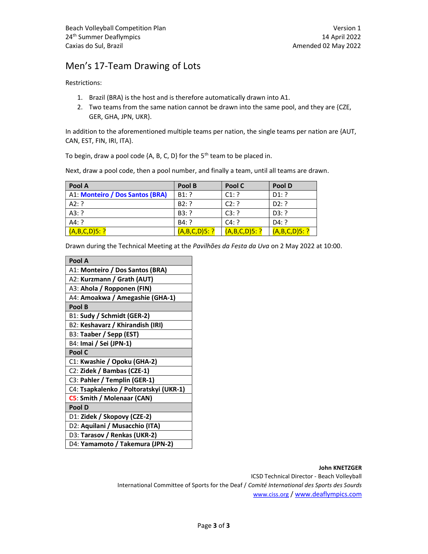### Men's 17-Team Drawing of Lots

Restrictions:

- 1. Brazil (BRA) is the host and is therefore automatically drawn into A1.
- 2. Two teams from the same nation cannot be drawn into the same pool, and they are {CZE, GER, GHA, JPN, UKR}.

In addition to the aforementioned multiple teams per nation, the single teams per nation are {AUT, CAN, EST, FIN, IRI, ITA}.

To begin, draw a pool code  ${A, B, C, D}$  for the 5<sup>th</sup> team to be placed in.

Next, draw a pool code, then a pool number, and finally a team, until all teams are drawn.

| Pool A                          | Pool B          | Pool C          | Pool D          |
|---------------------------------|-----------------|-----------------|-----------------|
| A1: Monteiro / Dos Santos (BRA) | $B1:$ ?         | C1: ?           | $D1:$ ?         |
| A2: ?                           | B2:?            | C2:?            | D2:?            |
| A3: ?                           | B3:?            | C3:?            | D3: ?           |
| A4: ?                           | B4:?            | C4:?            | $D4:$ ?         |
| $(A, B, C, D)$ 5: ?             | $(A,B,C,D)5:$ ? | $(A,B,C,D)5:$ ? | $(A,B,C,D)5:$ ? |

Drawn during the Technical Meeting at the Pavilhões da Festa da Uva on 2 May 2022 at 10:00.

| Pool A                                 |
|----------------------------------------|
| A1: Monteiro / Dos Santos (BRA)        |
| A2: Kurzmann / Grath (AUT)             |
| A3: Ahola / Ropponen (FIN)             |
| A4: Amoakwa / Amegashie (GHA-1)        |
| Pool B                                 |
| B1: Sudy / Schmidt (GER-2)             |
| B2: Keshavarz / Khirandish (IRI)       |
| B3: Taaber / Sepp (EST)                |
| B4: Imai / Sei (JPN-1)                 |
| Pool C                                 |
| C1: Kwashie / Opoku (GHA-2)            |
| C2: Zidek / Bambas (CZE-1)             |
| C3: Pahler / Templin (GER-1)           |
| C4: Tsapkalenko / Poltoratskyi (UKR-1) |
| C5: Smith / Molenaar (CAN)             |
| Pool D                                 |
| D1: Zidek / Skopovy (CZE-2)            |
| D2: Aquilani / Musacchio (ITA)         |
| D3: Tarasov / Renkas (UKR-2)           |
| D4: Yamamoto / Takemura (JPN-2)        |

John KNETZGER ICSD Technical Director - Beach Volleyball International Committee of Sports for the Deaf / Comité International des Sports des Sourds www.ciss.org / www.deaflympics.com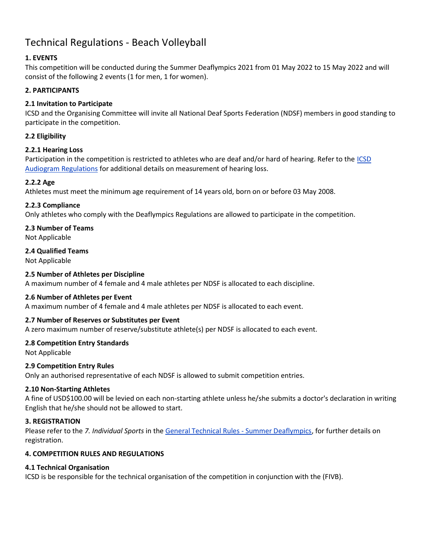## Technical Regulations - Beach Volleyball

#### 1. EVENTS

This competition will be conducted during the Summer Deaflympics 2021 from 01 May 2022 to 15 May 2022 and will consist of the following 2 events (1 for men, 1 for women).

#### 2. PARTICIPANTS

#### 2.1 Invitation to Participate

ICSD and the Organising Committee will invite all National Deaf Sports Federation (NDSF) members in good standing to participate in the competition.

#### 2.2 Eligibility

#### 2.2.1 Hearing Loss

Participation in the competition is restricted to athletes who are deaf and/or hard of hearing. Refer to the ICSD Audiogram Regulations for additional details on measurement of hearing loss.

#### 2.2.2 Age

Athletes must meet the minimum age requirement of 14 years old, born on or before 03 May 2008.

#### 2.2.3 Compliance

Only athletes who comply with the Deaflympics Regulations are allowed to participate in the competition.

#### 2.3 Number of Teams

Not Applicable

#### 2.4 Qualified Teams

Not Applicable

#### 2.5 Number of Athletes per Discipline

A maximum number of 4 female and 4 male athletes per NDSF is allocated to each discipline.

#### 2.6 Number of Athletes per Event

A maximum number of 4 female and 4 male athletes per NDSF is allocated to each event.

#### 2.7 Number of Reserves or Substitutes per Event

A zero maximum number of reserve/substitute athlete(s) per NDSF is allocated to each event.

#### 2.8 Competition Entry Standards

Not Applicable

#### 2.9 Competition Entry Rules

Only an authorised representative of each NDSF is allowed to submit competition entries.

#### 2.10 Non-Starting Athletes

A fine of USD\$100.00 will be levied on each non-starting athlete unless he/she submits a doctor's declaration in writing English that he/she should not be allowed to start.

#### 3. REGISTRATION

Please refer to the 7. Individual Sports in the General Technical Rules - Summer Deaflympics, for further details on registration.

#### 4. COMPETITION RULES AND REGULATIONS

#### 4.1 Technical Organisation

ICSD is be responsible for the technical organisation of the competition in conjunction with the (FIVB).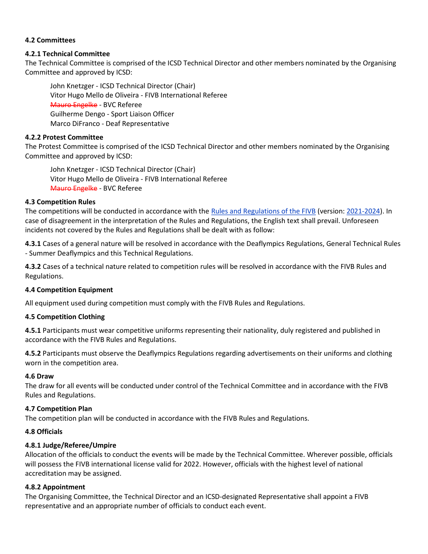#### 4.2 Committees

#### 4.2.1 Technical Committee

The Technical Committee is comprised of the ICSD Technical Director and other members nominated by the Organising Committee and approved by ICSD:

John Knetzger - ICSD Technical Director (Chair) Vitor Hugo Mello de Oliveira - FIVB International Referee Mauro Engelke - BVC Referee Guilherme Dengo - Sport Liaison Officer Marco DiFranco - Deaf Representative

#### 4.2.2 Protest Committee

The Protest Committee is comprised of the ICSD Technical Director and other members nominated by the Organising Committee and approved by ICSD:

John Knetzger - ICSD Technical Director (Chair) Vitor Hugo Mello de Oliveira - FIVB International Referee Mauro Engelke - BVC Referee

#### 4.3 Competition Rules

The competitions will be conducted in accordance with the Rules and Regulations of the FIVB (version: 2021-2024). In case of disagreement in the interpretation of the Rules and Regulations, the English text shall prevail. Unforeseen incidents not covered by the Rules and Regulations shall be dealt with as follow:

4.3.1 Cases of a general nature will be resolved in accordance with the Deaflympics Regulations, General Technical Rules - Summer Deaflympics and this Technical Regulations.

4.3.2 Cases of a technical nature related to competition rules will be resolved in accordance with the FIVB Rules and Regulations.

#### 4.4 Competition Equipment

All equipment used during competition must comply with the FIVB Rules and Regulations.

#### 4.5 Competition Clothing

4.5.1 Participants must wear competitive uniforms representing their nationality, duly registered and published in accordance with the FIVB Rules and Regulations.

4.5.2 Participants must observe the Deaflympics Regulations regarding advertisements on their uniforms and clothing worn in the competition area.

#### 4.6 Draw

The draw for all events will be conducted under control of the Technical Committee and in accordance with the FIVB Rules and Regulations.

#### 4.7 Competition Plan

The competition plan will be conducted in accordance with the FIVB Rules and Regulations.

#### 4.8 Officials

#### 4.8.1 Judge/Referee/Umpire

Allocation of the officials to conduct the events will be made by the Technical Committee. Wherever possible, officials will possess the FIVB international license valid for 2022. However, officials with the highest level of national accreditation may be assigned.

#### 4.8.2 Appointment

The Organising Committee, the Technical Director and an ICSD-designated Representative shall appoint a FIVB representative and an appropriate number of officials to conduct each event.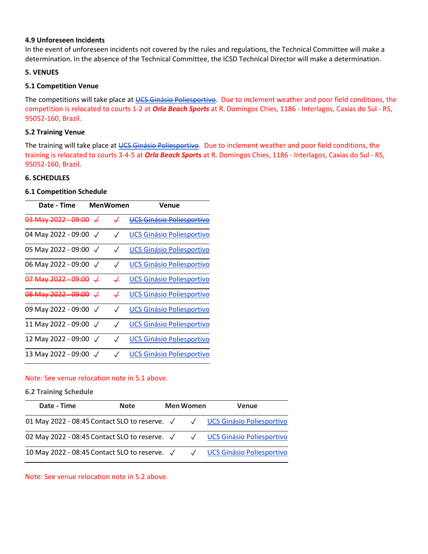#### 4.9 Unforeseen Incidents

In the event of unforeseen incidents not covered by the rules and regulations, the Technical Committee will make a determination. In the absence of the Technical Committee, the ICSD Technical Director will make a determination.

#### 5. VENUES

#### 5.1 Competition Venue

The competitions will take place at UCS Ginásio Poliesportivo. Due to inclement weather and poor field conditions, the competition is relocated to courts 1-2 at *Orla Beach Sports* at R. Domingos Chies, 1186 - Interlagos, Caxias do Sul - RS, 95052-160, Brazil.

#### 5.2 Training Venue

The training will take place at UCS Ginásio Poliesportivo. Due to inclement weather and poor field conditions, the training is relocated to courts 3-4-5 at *Orla Beach Sports* at R. Domingos Chies, 1186 - Interlagos, Caxias do Sul - RS, 95052-160, Brazil.

#### 6. SCHEDULES

#### 6.1 Competition Schedule

| Date - Time                                   | <b>MenWomen</b> |              | Venue                              |
|-----------------------------------------------|-----------------|--------------|------------------------------------|
| <del>03 May 2022 - 09:00</del> - <del>√</del> |                 | ↵            | <del>UCS Ginásio Poliesporti</del> |
| 04 May 2022 - 09:00 $\sqrt{ }$                |                 |              | <b>UCS Ginásio Poliesportivo</b>   |
| 05 May 2022 - 09:00                           |                 |              | <b>UCS Ginásio Poliesportivo</b>   |
| 06 May 2022 - 09:00 $\sqrt$                   |                 |              | <b>UCS Ginásio Poliesportivo</b>   |
|                                               |                 | ↵            | <b>UCS Ginásio Poliesportivo</b>   |
| <del>08 May 2022 - 09:00</del> - <del>√</del> |                 | $\downarrow$ | <b>UCS Ginásio Poliesportivo</b>   |
| 09 May 2022 - 09:00 $\sqrt$                   |                 |              | <b>UCS Ginásio Poliesportivo</b>   |
| 11 May 2022 - 09:00 $\sqrt{}$                 |                 |              | <b>UCS Ginásio Poliesportivo</b>   |
| 12 May 2022 - 09:00 V                         |                 |              | <b>UCS Ginásio Poliesportivo</b>   |
| 13 May 2022 - 09:00                           |                 |              | <b>UCS Ginásio Poliesportivo</b>   |

#### Note: See venue relocation note in 5.1 above.

#### 6.2 Training Schedule

| Date - Time                                                               | <b>Note</b> | <b>Men Women</b> | Venue |
|---------------------------------------------------------------------------|-------------|------------------|-------|
| 01 May 2022 - 08:45 Contact SLO to reserve. √ √ UCS Ginásio Poliesportivo |             |                  |       |
| 02 May 2022 - 08:45 Contact SLO to reserve. √ √ UCS Ginásio Poliesportivo |             |                  |       |
| 10 May 2022 - 08:45 Contact SLO to reserve. √ √ UCS Ginásio Poliesportivo |             |                  |       |

Note: See venue relocation note in 5.2 above.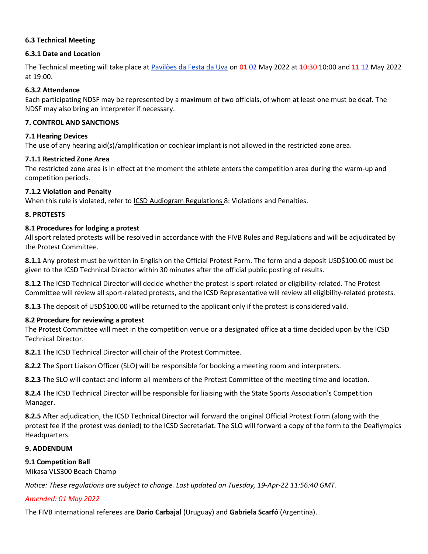#### 6.3 Technical Meeting

#### 6.3.1 Date and Location

The Technical meeting will take place at Pavilões da Festa da Uva on 01 02 May 2022 at 10:30 10:00 and 11 12 May 2022 at 19:00.

#### 6.3.2 Attendance

Each participating NDSF may be represented by a maximum of two officials, of whom at least one must be deaf. The NDSF may also bring an interpreter if necessary.

#### 7. CONTROL AND SANCTIONS

#### 7.1 Hearing Devices

The use of any hearing aid(s)/amplification or cochlear implant is not allowed in the restricted zone area.

#### 7.1.1 Restricted Zone Area

The restricted zone area is in effect at the moment the athlete enters the competition area during the warm-up and competition periods.

#### 7.1.2 Violation and Penalty

When this rule is violated, refer to ICSD Audiogram Regulations 8: Violations and Penalties.

#### 8. PROTESTS

#### 8.1 Procedures for lodging a protest

All sport related protests will be resolved in accordance with the FIVB Rules and Regulations and will be adjudicated by the Protest Committee.

8.1.1 Any protest must be written in English on the Official Protest Form. The form and a deposit USD\$100.00 must be given to the ICSD Technical Director within 30 minutes after the official public posting of results.

8.1.2 The ICSD Technical Director will decide whether the protest is sport-related or eligibility-related. The Protest Committee will review all sport-related protests, and the ICSD Representative will review all eligibility-related protests.

8.1.3 The deposit of USD\$100.00 will be returned to the applicant only if the protest is considered valid.

#### 8.2 Procedure for reviewing a protest

The Protest Committee will meet in the competition venue or a designated office at a time decided upon by the ICSD Technical Director.

8.2.1 The ICSD Technical Director will chair of the Protest Committee.

8.2.2 The Sport Liaison Officer (SLO) will be responsible for booking a meeting room and interpreters.

8.2.3 The SLO will contact and inform all members of the Protest Committee of the meeting time and location.

8.2.4 The ICSD Technical Director will be responsible for liaising with the State Sports Association's Competition Manager.

8.2.5 After adjudication, the ICSD Technical Director will forward the original Official Protest Form (along with the protest fee if the protest was denied) to the ICSD Secretariat. The SLO will forward a copy of the form to the Deaflympics Headquarters.

#### 9. ADDENDUM

#### 9.1 Competition Ball

Mikasa VLS300 Beach Champ

Notice: These regulations are subject to change. Last updated on Tuesday, 19-Apr-22 11:56:40 GMT.

#### Amended: 01 May 2022

The FIVB international referees are Dario Carbajal (Uruguay) and Gabriela Scarfó (Argentina).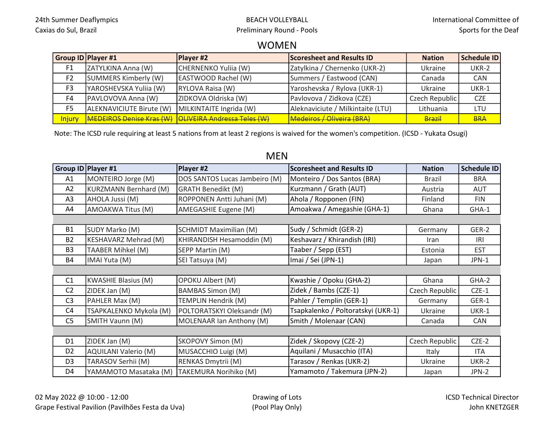#### WOMEN

|                | Group ID Player #1              | <b>Player #2</b>                   | <b>Scoresheet and Results ID</b>  | <b>Nation</b>  | Schedule ID |
|----------------|---------------------------------|------------------------------------|-----------------------------------|----------------|-------------|
| F1             | ZATYLKINA Anna (W)              | CHERNENKO Yuliia (W)               | Zatylkina / Chernenko (UKR-2)     | Ukraine        | UKR-2       |
| F <sub>2</sub> | SUMMERS Kimberly (W)            | EASTWOOD Rachel (W)                | Summers / Eastwood (CAN)          | Canada         | CAN         |
| F <sub>3</sub> | YAROSHEVSKA Yuliia (W)          | RYLOVA Raisa (W)                   | Yaroshevska / Rylova (UKR-1)      | Ukraine        | UKR-1       |
| F4             | PAVLOVOVA Anna (W)              | ZIDKOVA Oldriska (W)               | Pavlovova / Zidkova (CZE)         | Czech Republic | <b>CZE</b>  |
| F <sub>5</sub> | ALEKNAVICIUTE Birute (W)        | MILKINTAITE Ingrida (W)            | Aleknaviciute / Milkintaite (LTU) | Lithuania      | LTU         |
| <b>Injury</b>  | <b>MEDEIROS Denise Kras (W)</b> | <b>OLIVEIRA Andressa Teles (W)</b> | Medeiros / Oliveira (BRA)         | Brazil         | <b>BRA</b>  |

Note: The ICSD rule requiring at least 5 nations from at least 2 regions is waived for the women's competition. (ICSD - Yukata Osugi)

#### MEN

|                | Group ID Player #1           | Player #2                     | <b>Scoresheet and Results ID</b>   | <b>Nation</b>  | <b>Schedule ID</b> |
|----------------|------------------------------|-------------------------------|------------------------------------|----------------|--------------------|
| A1             | MONTEIRO Jorge (M)           | DOS SANTOS Lucas Jambeiro (M) | Monteiro / Dos Santos (BRA)        | <b>Brazil</b>  | <b>BRA</b>         |
| A2             | <b>KURZMANN Bernhard (M)</b> | <b>GRATH Benedikt (M)</b>     | Kurzmann / Grath (AUT)             | Austria        | <b>AUT</b>         |
| A <sub>3</sub> | AHOLA Jussi (M)              | ROPPONEN Antti Juhani (M)     | Ahola / Ropponen (FIN)             | Finland        | <b>FIN</b>         |
| A4             | AMOAKWA Titus (M)            | AMEGASHIE Eugene (M)          | Amoakwa / Amegashie (GHA-1)        | Ghana          | GHA-1              |
|                |                              |                               |                                    |                |                    |
| <b>B1</b>      | SUDY Marko (M)               | <b>SCHMIDT Maximilian (M)</b> | Sudy / Schmidt (GER-2)             | Germany        | GER-2              |
| <b>B2</b>      | <b>KESHAVARZ Mehrad (M)</b>  | KHIRANDISH Hesamoddin (M)     | Keshavarz / Khirandish (IRI)       | <b>Iran</b>    | IRI                |
| B <sub>3</sub> | TAABER Mihkel (M)            | SEPP Martin (M)               | Taaber / Sepp (EST)                | Estonia        | <b>EST</b>         |
| <b>B4</b>      | IMAI Yuta (M)                | SEI Tatsuya (M)               | Imai / Sei (JPN-1)                 | Japan          | JPN-1              |
|                |                              |                               |                                    |                |                    |
| C1             | <b>KWASHIE Blasius (M)</b>   | <b>OPOKU Albert (M)</b>       | Kwashie / Opoku (GHA-2)            | Ghana          | GHA-2              |
| C <sub>2</sub> | ZIDEK Jan (M)                | <b>BAMBAS Simon (M)</b>       | Zidek / Bambs (CZE-1)              | Czech Republic | $CZE-1$            |
| C <sub>3</sub> | PAHLER Max (M)               | TEMPLIN Hendrik (M)           | Pahler / Templin (GER-1)           | Germany        | GER-1              |
| C <sub>4</sub> | TSAPKALENKO Mykola (M)       | POLTORATSKYI Oleksandr (M)    | Tsapkalenko / Poltoratskyi (UKR-1) | Ukraine        | UKR-1              |
| C <sub>5</sub> | SMITH Vaunn (M)              | MOLENAAR Ian Anthony (M)      | Smith / Molenaar (CAN)             | Canada         | <b>CAN</b>         |
|                |                              |                               |                                    |                |                    |
| D <sub>1</sub> | ZIDEK Jan (M)                | <b>SKOPOVY Simon (M)</b>      | Zidek / Skopovy (CZE-2)            | Czech Republic | $CZE-2$            |
| D <sub>2</sub> | <b>AQUILANI Valerio (M)</b>  | MUSACCHIO Luigi (M)           | Aquilani / Musacchio (ITA)         | Italy          | <b>ITA</b>         |
| D <sub>3</sub> | TARASOV Serhii (M)           | RENKAS Dmytrii (M)            | Tarasov / Renkas (UKR-2)           | Ukraine        | UKR-2              |
| D4             | YAMAMOTO Masataka (M)        | TAKEMURA Norihiko (M)         | Yamamoto / Takemura (JPN-2)        | Japan          | JPN-2              |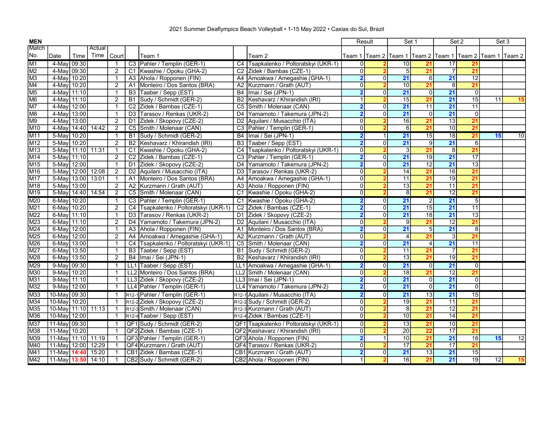| <b>MEN</b>       |                       |       |        |                |                 |                                    |                |                                                    |                         | Result         |                  | Set 1           |                 | Set 2           | Set 3                                                          |                 |
|------------------|-----------------------|-------|--------|----------------|-----------------|------------------------------------|----------------|----------------------------------------------------|-------------------------|----------------|------------------|-----------------|-----------------|-----------------|----------------------------------------------------------------|-----------------|
| Match            |                       |       | Actual |                |                 |                                    |                |                                                    |                         |                |                  |                 |                 |                 |                                                                |                 |
| No.              | Date                  | Time  | Time   | Court          |                 | Team 1                             |                | Team 2                                             |                         |                |                  |                 |                 |                 | Team 1  Team 2  Team 1  Team 2  Team 1  Team 2  Team 1  Team 2 |                 |
| M <sub>1</sub>   | 4-May 09:30           |       |        | -1             |                 | C3 Pahler / Templin (GER-1)        |                | C4 Tsapkalenko / Poltoratskyi (UKR-1)              | 0                       |                | 10 <sup>1</sup>  | 21              | 17              |                 |                                                                |                 |
| $\overline{M2}$  | 4-May 09:30           |       |        | $\overline{2}$ | C1              | Kwashie / Opoku (GHA-2)            |                | C <sub>2</sub> Zidek / Bambas (C <sub>ZE</sub> -1) | $\overline{0}$          |                | 5                | 21              |                 | 21              |                                                                |                 |
| M <sub>3</sub>   | 4-May                 | 10:20 |        | $\mathbf{1}$   | A <sub>3</sub>  | Ahola / Ropponen (FIN)             | A4             | Amoakwa / Amegashie (GHA-1)                        | $\overline{\mathbf{2}}$ | 0              | $\overline{21}$  | 6l              | 21              | $\overline{12}$ |                                                                |                 |
| M4               | 4-May                 | 10:20 |        | $\overline{2}$ | A <sub>1</sub>  | Monteiro / Dos Santos (BRA)        |                | A2 Kurzmann / Grath (AUT)                          | 0                       |                | $\overline{10}$  | 21              | 8               | 21              |                                                                |                 |
| M <sub>5</sub>   | 4-May 11:10           |       |        | $\mathbf{1}$   | B <sub>3</sub>  | Taaber / Sepp (EST)                |                | B4 Imai / Sei (JPN-1)                              | $\overline{\mathbf{2}}$ | 0              | 21               | 0               | 21              | $\overline{0}$  |                                                                |                 |
| M <sub>6</sub>   | 4-May                 | 11:10 |        | $\overline{2}$ | <b>B1</b>       | Sudy / Schmidt (GER-2)             | <b>B2</b>      | Keshavarz / Khirandish (IRI)                       | 1                       | $\overline{2}$ | 15               | 21              | $\overline{21}$ | 15              | 11                                                             | 15              |
| M7               | 4-May 12:00           |       |        | $\mathbf{1}$   | $\overline{C2}$ | Zidek / Bambas (CZE-1)             |                | C5 Smith / Molenaar (CAN)                          | $\overline{2}$          | 0              | $\overline{21}$  | $\overline{11}$ | $\overline{21}$ | 11              |                                                                |                 |
| M <sub>8</sub>   | 4-May 13:00           |       |        | $\mathbf{1}$   | D <sub>3</sub>  | Tarasov / Renkas (UKR-2)           |                | D4 Yamamoto / Takemura (JPN-2)                     | 2                       | $\Omega$       | $\overline{21}$  | $\overline{0}$  | $\overline{21}$ | $\overline{0}$  |                                                                |                 |
| M <sub>9</sub>   | 4-Mavl                | 13:00 |        | 2              | D <sub>1</sub>  | Zidek / Skopovy (CZE-2)            |                | D2 Aquilani / Musacchio (ITA)                      | $\overline{0}$          | $\mathbf 2$    | $\overline{16}$  | 21              | $\overline{13}$ | 21              |                                                                |                 |
| M <sub>10</sub>  | 4-May 14:40           |       | 14:42  | $\overline{2}$ | C5              | Smith / Molenaar (CAN)             |                | C3 Pahler / Templin (GER-1)                        | $\overline{0}$          |                | $6 \overline{6}$ | 21              | 10              | 21              |                                                                |                 |
| M <sub>11</sub>  | 5-May 10:20           |       |        | $\overline{1}$ | <b>B1</b>       | Sudy / Schmidt (GER-2)             |                | B4   Imai / Sei (JPN-1)                            | $\overline{\mathbf{2}}$ | $\mathbf{1}$   | 21               | 15              | $\overline{18}$ | $\overline{21}$ | 15                                                             | 10              |
| M <sub>12</sub>  | 5-May                 | 10:20 |        | 2              | <b>B2</b>       | Keshavarz / Khirandish (IRI)       |                | B3 Taaber / Sepp (EST)                             | $\overline{\mathbf{2}}$ | $\overline{0}$ | 21               | 9               | 21              | $6 \mid$        |                                                                |                 |
| M <sub>13</sub>  | 5-May 11:10 11:31     |       |        | $\mathbf{1}$   | C <sub>1</sub>  | Kwashie / Opoku (GHA-2)            |                | C4 Tsapkalenko / Poltoratskyi (UKR-1)              | $\overline{0}$          |                | $\overline{3}$   | 21              | $\overline{8}$  | 21              |                                                                |                 |
| $\overline{M14}$ | 5-May 11:10           |       |        | $\overline{2}$ | C <sub>2</sub>  | Zidek / Bambas (CZE-1)             |                | C3 Pahler / Templin (GER-1)                        | $\overline{\mathbf{2}}$ | 0              | $\overline{21}$  | 19              | $\overline{21}$ | 17              |                                                                |                 |
| M <sub>15</sub>  | 5-May 12:00           |       |        | $\mathbf{1}$   | D <sub>1</sub>  | Zidek / Skopovy (CZE-2)            |                | D4 Yamamoto / Takemura (JPN-2)                     | $\overline{\mathbf{2}}$ | 0              | $\overline{21}$  | $\overline{12}$ | $\overline{21}$ | 13              |                                                                |                 |
| M <sub>16</sub>  | 5-May 12:00           |       | 12:08  | $\overline{2}$ | D <sub>2</sub>  | Aquilani / Musacchio (ITA)         |                | D3 Tarasov / Renkas (UKR-2)                        | $\overline{0}$          |                | $\overline{14}$  | $\overline{21}$ | $\overline{16}$ | $\overline{21}$ |                                                                |                 |
| M <sub>17</sub>  | 5-May 13:00           |       | 13:01  | $\mathbf{1}$   | A <sub>1</sub>  | Monteiro / Dos Santos (BRA)        | A4             | Amoakwa / Amegashie (GHA-1)                        | $\overline{0}$          |                | 11               | 21              | $\overline{19}$ | 21              |                                                                |                 |
| M <sub>18</sub>  | 5-May 13:00           |       |        | $\overline{2}$ |                 | A2 Kurzmann / Grath (AUT)          | A3             | Ahola / Ropponen (FIN)                             | $\overline{0}$          |                | $\overline{13}$  | 21              | $\overline{11}$ | 21              |                                                                |                 |
| M <sub>19</sub>  | 5-May 14:40 14:54     |       |        | $\overline{2}$ | C <sub>5</sub>  | Smith / Molenaar (CAN)             | C <sub>1</sub> | Kwashie / Opoku (GHA-2)                            | $\overline{0}$          |                | $\overline{8}$   | $\overline{21}$ | $\overline{12}$ | $\overline{21}$ |                                                                |                 |
| M20              | 6-May 10:20           |       |        | $\mathbf{1}$   |                 | C3 Pahler / Templin (GER-1)        |                | C1 Kwashie / Opoku (GHA-2)                         | $\overline{\mathbf{2}}$ | $\overline{0}$ | 21               | $\overline{2}$  | 21              | 5 <sup>1</sup>  |                                                                |                 |
| M21              | 6-May 10:20           |       |        | 2              | C <sub>4</sub>  | Tsapkalenko / Poltoratskyi (UKR-1) |                | C2 Zidek / Bambas (CZE-1)                          | $\overline{2}$          | $\overline{0}$ | $\overline{21}$  | $\overline{15}$ | 21              | 11              |                                                                |                 |
| M22              | 6-May 11:10           |       |        | $\mathbf{1}$   | D <sub>3</sub>  | Tarasov / Renkas (UKR-2)           |                | D1 Zidek / Skopovy (CZE-2)                         | $\overline{\mathbf{2}}$ | 0              | $\overline{21}$  | 18              | $\overline{21}$ | 13              |                                                                |                 |
| M23              | 6-Mavl                | 11:10 |        | $\overline{2}$ | D <sub>4</sub>  | Yamamoto / Takemura (JPN-2)        |                | D2 Aquilani / Musacchio (ITA)                      | $\overline{0}$          | 2              | $\overline{9}$   | 21              | $\overline{12}$ | 21              |                                                                |                 |
| M24              | 6-May 12:00           |       |        | $\mathbf{1}$   | A <sub>3</sub>  | Ahola / Ropponen (FIN)             | A <sub>1</sub> | Monteiro / Dos Santos (BRA)                        | $\overline{2}$          | $\Omega$       | 21               | 5 <sup>1</sup>  | 21              | 8 <sup>1</sup>  |                                                                |                 |
| M25              | 6-May 12:00           |       |        | $\overline{2}$ | A4              | Amoakwa / Amegashie (GHA-1)        |                | A2 Kurzmann / Grath (AUT)                          | $\overline{0}$          |                | $\overline{4}$   | 21              | 3               | 21              |                                                                |                 |
| M26              | 6-May 13:00           |       |        | $\mathbf{1}$   | C4              | Tsapkalenko / Poltoratskyi (UKR-1) |                | C5 Smith / Molenaar (CAN)                          | $\overline{\mathbf{2}}$ | $\overline{0}$ | $\overline{21}$  | $\vert 4 \vert$ | $\overline{21}$ | 11              |                                                                |                 |
| $\overline{M27}$ | 6-May 13:50           |       |        | $\mathbf{1}$   | B3              | Taaber / Sepp (EST)                |                | B1 Sudy / Schmidt (GER-2)                          | $\overline{0}$          |                | $\overline{11}$  | 21              | $\overline{7}$  | 21              |                                                                |                 |
| M28              | 6-May 13:50           |       |        | $\overline{2}$ | B4              | Imai / Sei (JPN-1)                 |                | B2 Keshavarz / Khirandish (IRI)                    | $\overline{0}$          |                | $\overline{13}$  | 21              | $\overline{19}$ | $\overline{21}$ |                                                                |                 |
| M29              | 9-May 09:30           |       |        | $\mathbf{1}$   |                 | LL1 Taaber / Sepp (EST)            |                | LL1 Amoakwa / Amegashie (GHA-1)                    | $\overline{\mathbf{2}}$ | $\overline{0}$ | 21               | $\overline{0}$  | 21              | $\overline{0}$  |                                                                |                 |
| M30              | 9-May 10:20           |       |        | $\mathbf{1}$   |                 | LL2 Monteiro / Dos Santos (BRA)    |                | LL2 Smith / Molenaar (CAN)                         | 0                       |                | $\overline{18}$  | 21              | $\overline{12}$ | 21              |                                                                |                 |
| M31              | 9-May 11:10           |       |        | $\mathbf{1}$   |                 | LL3 Zidek / Skopovy (CZE-2)        |                | LL3 Ilmai / Sei (JPN-1)                            | $\overline{\mathbf{2}}$ | $\Omega$       | 21               | $\overline{0}$  | 21              | $\overline{0}$  |                                                                |                 |
| M32              | 9-May 12:00           |       |        | $\mathbf{1}$   |                 | LL4 Pahler / Templin (GER-1)       |                | LL4 Yamamoto / Takemura (JPN-2)                    | 2                       | $\overline{0}$ | 21               | 0               | 21              | $\overline{0}$  |                                                                |                 |
| M33              | 10-May 09:30          |       |        | $\mathbf{1}$   |                 | R12-1 Pahler / Templin (GER-1)     |                | R12-1 Aquilani / Musacchio (ITA)                   | $\overline{\mathbf{2}}$ | $\overline{0}$ | 21               | 13              | 21              | 15              |                                                                |                 |
| M34              | 10-May 10:20          |       |        | $\mathbf{1}$   |                 | R12-2 Zidek / Skopovy (CZE-2)      |                | R <sub>12-2</sub> Sudy / Schmidt (GER-2)           | $\overline{0}$          | $\overline{2}$ | 19               | 21              | 11              | 21              |                                                                |                 |
| M35              | 10-May 11:10 11:13    |       |        | $\mathbf{1}$   |                 | R12-3 Smith / Molenaar (CAN)       |                | R <sub>12-3</sub> Kurzmann / Grath (AUT)           | $\overline{0}$          | $\mathbf 2$    | 8                | 21              | 12              | 21              |                                                                |                 |
| M36              | 10-May 12:00          |       |        | $\mathbf{1}$   |                 | R12-4 Taaber / Sepp (EST)          |                | R <sub>12-4</sub> Zidek / Bambas (CZE-1)           | 히                       |                | $\overline{10}$  | 21              | $\overline{14}$ | $\overline{21}$ |                                                                |                 |
| M37              | 11-May 09:30          |       |        | $\mathbf{1}$   |                 | QF1 Sudy / Schmidt (GER-2)         |                | QF1 Tsapkalenko / Poltoratskyi (UKR-1)             | 0                       |                | 13               | 21              | 10              | 21              |                                                                |                 |
| <b>M38</b>       | 11-May 10:20          |       |        | $\mathbf{1}$   |                 | QF2 Zidek / Bambas (CZE-1)         |                | QF2 Keshavarz / Khirandish (IRI)                   | $\overline{0}$          |                | $\overline{20}$  | $\overline{22}$ | $\overline{17}$ | 21              |                                                                |                 |
| M39              | 11-May 11:10          |       | 11:19  | $\mathbf{1}$   |                 | QF3 Pahler / Templin (GER-1)       |                | QF3 Ahola / Ropponen (FIN)                         | $\overline{\mathbf{2}}$ | 1              | $\overline{10}$  | 21              | 21              | $\overline{18}$ | 15                                                             | $\overline{12}$ |
| M40              | 11-May 12:00          |       | 12:29  | $\mathbf{1}$   |                 | QF4 Kurzmann / Grath (AUT)         |                | QF4 Tarasov / Renkas (UKR-2)                       | $\overline{0}$          |                | $\overline{17}$  | 21              | $\overline{17}$ | $\overline{21}$ |                                                                |                 |
| M41              | 11-May 14:40          |       | 15:20  | $\mathbf{1}$   |                 | CB1 Zidek / Bambas (CZE-1)         |                | CB1 Kurzmann / Grath (AUT)                         | $\overline{\mathbf{2}}$ | $\overline{0}$ | 21               | 13              | 21              | 15              |                                                                |                 |
| M42              | $11$ -May 13:50 14:10 |       |        | $\mathbf{1}$   |                 | CB2 Sudy / Schmidt (GER-2)         |                | CB2 Ahola / Ropponen (FIN)                         | $\mathbf{1}$            | $\overline{2}$ | $\overline{16}$  | $\overline{21}$ | $\overline{21}$ | $\overline{19}$ | $\overline{12}$                                                | 15              |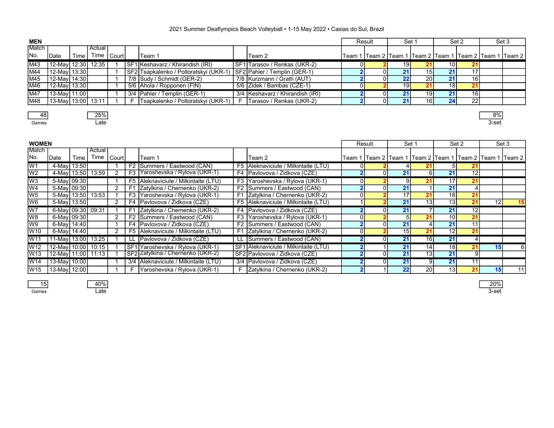| <b>MEN</b>      |                    |      |            |  |                                        |                                  | Result | Set 1 |                 |                 | Set 2 | Set 3                                                          |
|-----------------|--------------------|------|------------|--|----------------------------------------|----------------------------------|--------|-------|-----------------|-----------------|-------|----------------------------------------------------------------|
| Match           |                    |      | Actual     |  |                                        |                                  |        |       |                 |                 |       |                                                                |
| IN <sub>o</sub> | <b>I</b> Date      | Time | Time Court |  | Team 1                                 | Team 2                           |        |       |                 |                 |       | Team 1  Team 2  Team 1  Team 2  Team 1  Team 2  Team 1  Team 2 |
| M43             | 12-May 12:30       |      | 12:35      |  | SF1 Keshavarz / Khirandish (IRI)       | SF1 Tarasov / Renkas (UKR-2)     |        | 19    |                 | 10 I            |       |                                                                |
| M44             | 12-May 13:30       |      |            |  | SF2 Tsapkalenko / Poltoratskyi (UKR-1) | SF2 Pahler / Templin (GER-1)     |        |       | 151             |                 |       |                                                                |
| M45             | 12-May 14:30       |      |            |  | 7/8 Sudy / Schmidt (GER-2)             | 7/8   Kurzmann / Grath (AUT)     |        |       | 20 I            |                 |       |                                                                |
| M46             | 12-May 13:30       |      |            |  | 5/6 Ahola / Ropponen (FIN)             | 5/6 Zidek / Bambas (CZE-1)       |        | 19    |                 | 18 <sub>l</sub> |       |                                                                |
| <b>IM47</b>     | 13-May 11:00       |      |            |  | 3/4 Pahler / Templin (GER-1)           | 3/4 Keshavarz / Khirandish (IRI) |        |       | 19 <sup>l</sup> |                 | 16 I  |                                                                |
| M48             | 13-May 13:00 13:11 |      |            |  | Tsapkalenko / Poltoratskyi (UKR-1)     | F   Tarasov / Renkas (UKR-2)     | υı     |       | 16              |                 | 22    |                                                                |
|                 |                    |      |            |  |                                        |                                  |        |       |                 |                 |       |                                                                |

48 | 25% | 25% | 25% | 25% | 25% | 25% | 25% | 25% | 25% | 25% | 25% | 25% | 25% | 25% | 25% | 25% | 25% | 25 Games Late 3-set

| <b>WOMEN</b>    |                      |      |                   |           |                |                                         |                |                                       |    | Result | Set 1           |                 |                 | Set 2           |    | Set 3                                                          |
|-----------------|----------------------|------|-------------------|-----------|----------------|-----------------------------------------|----------------|---------------------------------------|----|--------|-----------------|-----------------|-----------------|-----------------|----|----------------------------------------------------------------|
| IMatch          |                      |      | Actual            |           |                |                                         |                |                                       |    |        |                 |                 |                 |                 |    |                                                                |
| INo.            | <b>IDate</b>         | Time | Time              | l Court l |                | Team 1                                  |                | Team 2                                |    |        |                 |                 |                 |                 |    | Team 1  Team 2  Team 1  Team 2  Team 1  Team 2  Team 1  Team 2 |
| W <sub>1</sub>  | 4-May 13:50          |      |                   |           |                | F2 Summers / Eastwood (CAN)             |                | F5 Aleknaviciute / Milkintaite (LTU)  |    |        |                 |                 |                 |                 |    |                                                                |
| W <sub>2</sub>  |                      |      | 4-May 13:50 13:59 |           |                | F3 Yaroshevska / Rylova (UKR-1)         |                | F4 Pavlovova / Zidkova (CZE)          |    |        | 21              | 6 <sup>1</sup>  |                 | 12              |    |                                                                |
| lW <sub>3</sub> | 5-May 09:30          |      |                   |           |                | F5 Aleknaviciute / Milkintaite (LTU)    | F <sub>3</sub> | Yaroshevska / Rylova (UKR-1)          | ΟI |        | 9               | 21              | 17 <sub>h</sub> | 21 <sub>1</sub> |    |                                                                |
| lW4             | 5-May 09:30          |      |                   |           | F1             | Zatylkina / Chernenko (UKR-2)           |                | F2 Summers / Eastwood (CAN)           |    |        | 21              |                 |                 |                 |    |                                                                |
| lw5             | 5-May 13:50          |      | 13:53             |           |                | F3 Yaroshevska / Rylova (UKR-1)         |                | F1 Zatylkina / Chernenko (UKR-2)      |    |        | 17              | 21              | 18 <sub>l</sub> |                 |    |                                                                |
| W <sub>6</sub>  | 5-May 13:50          |      |                   |           |                | F4   Pavlovova / Zidkova (CZE)          |                | F5 Aleknaviciute / Milkintaite (LTU)  |    |        | 21              | $1\overline{3}$ | 13 <sub>l</sub> | 21              | 12 | 15                                                             |
| W7              | 6-May 09:30 09:31    |      |                   |           | F <sub>1</sub> | Zatylkina / Chernenko (UKR-2)           |                | F4 Pavlovova / Zidkova (CZE)          |    |        | 21              |                 |                 | 12              |    |                                                                |
| W8              | 6-May 09:30          |      |                   |           |                | F2 Summers / Eastwood (CAN)             | F3             | Yaroshevska / Rylova (UKR-1)          |    |        |                 |                 | 10 <sup>1</sup> |                 |    |                                                                |
| W <sub>9</sub>  | 6-May 14:40          |      |                   |           |                | F4 Pavlovova / Zidkova (CZE)            |                | F2 Summers / Eastwood (CAN)           |    |        | 21              |                 |                 | 11 <sub>1</sub> |    |                                                                |
| W <sub>10</sub> | 6-May  14:40         |      |                   |           |                | F5   Aleknaviciute / Milkintaite (LTU)  |                | F1 Zatylkina / Chernenko (UKR-2)      | ΩI |        | 15 <sub>1</sub> | 21              | 12 <sub>l</sub> | 21              |    |                                                                |
| W11             | 11-May 13:00         |      | 13:25             |           |                | LL   Pavlovova / Zidkova (CZE)          |                | LL Summers / Eastwood (CAN)           |    |        | 21              | 16              | 21              |                 |    |                                                                |
| IW12            | 12-May 10:00         |      | 10:15             |           |                | SF1 Yaroshevska / Rylova (UKR-1)        |                | SF1 Aleknaviciute / Milkintaite (LTU) |    |        | 21              | 14              | 18              | 21              |    |                                                                |
| lW13            | 12-May 11:00   11:13 |      |                   |           |                | SF2 Zatylkina / Chernenko (UKR-2)       |                | SF2 Pavlovova / Zidkova (CZE)         |    |        | 21              | 13              | 21              | 91              |    |                                                                |
| W14             | 13-May 10:00         |      |                   |           |                | 3/4   Aleknaviciute / Milkintaite (LTU) | $3/4$          | Pavlovova / Zidkova (CZE)             |    |        | 21              | -9 I            | 21              | 11              |    |                                                                |
| lW15            | 13-May│12:00│        |      |                   |           |                | Yaroshevska / Rylova (UKR-1)            |                | F Zatylkina / Chernenko (UKR-2)       |    |        | 22              | 20 <sub>l</sub> | 13 <sub>h</sub> |                 |    | 11                                                             |

15 | 40% | 40% | 20% | 20% | 20% | 20% | 20% | 20% | 20% | 20% | 20% | 20% | 20% | 20% | 20% | 20% | 20% | 20% Games Late 3-set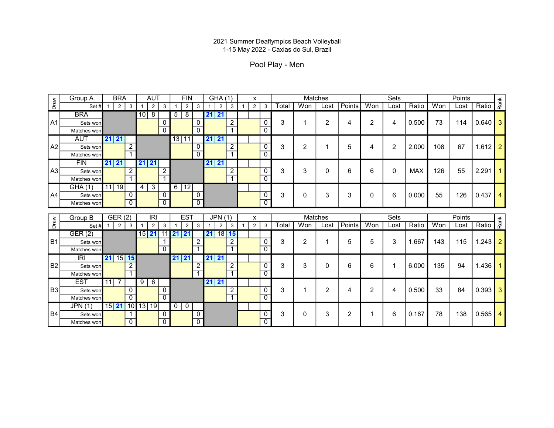Pool Play - Men

|                | Group A                 | <b>BRA</b>                                     | <b>AUT</b>                   |                | <b>FIN</b>                       |              | GHA (1)                        |                | x                   |                           |       | Matches |                 |               |                | Sets         |            |     | Points         |             |      |
|----------------|-------------------------|------------------------------------------------|------------------------------|----------------|----------------------------------|--------------|--------------------------------|----------------|---------------------|---------------------------|-------|---------|-----------------|---------------|----------------|--------------|------------|-----|----------------|-------------|------|
| Draw           | Set#                    | $\overline{2}$<br>$\mathbf{3}$                 | $\overline{2}$               | 3              | $\overline{2}$                   | 3            | $\overline{2}$<br>$\mathbf{1}$ | 3              | $2^{\circ}$         | 3                         | Total | Won     | Lost            | <b>Points</b> | Won            | Lost         | Ratio      | Won | Lost           | Ratio       | Rank |
|                | <b>BRA</b>              |                                                | $10$   8                     |                | 8<br>5                           |              | 21 21                          |                |                     |                           |       |         |                 |               |                |              |            |     |                |             |      |
| IA1            | Sets won                |                                                |                              | 0              |                                  | 0            |                                | $\overline{2}$ |                     | 0                         | 3     |         | 2               | 4             | 2              | 4            | 0.500      | 73  | 114            | $0.640$ 3   |      |
|                | Matches won             |                                                |                              | $\Omega$       |                                  | $\Omega$     |                                | $\overline{1}$ |                     | $\overline{0}$            |       |         |                 |               |                |              |            |     |                |             |      |
|                | <b>AUT</b>              | 21 21                                          |                              |                | 13 11                            |              | 21 21                          |                |                     |                           |       |         |                 |               |                |              |            |     |                |             |      |
| A2             | Sets won                | $\overline{2}$                                 |                              |                |                                  | 0            |                                | $\overline{2}$ |                     | $\mathbf 0$               | 3     | 2       |                 | 5             | 4              | 2            | 2.000      | 108 | 67             | $1.612$ 2   |      |
|                | Matches won             |                                                |                              |                |                                  | $\Omega$     |                                | $\overline{1}$ |                     | $\overline{0}$            |       |         |                 |               |                |              |            |     |                |             |      |
|                | <b>FIN</b>              | $21 \, 21$                                     | 21 21                        |                |                                  |              | 21 21                          |                |                     |                           |       |         |                 |               |                |              |            |     |                |             |      |
| A3             | Sets won                | $\overline{2}$                                 |                              | $\overline{c}$ |                                  |              |                                | $\overline{2}$ |                     | $\mathbf 0$               | 3     | 3       | 0               | 6             | 6              | $\Omega$     | <b>MAX</b> | 126 | 55             | 2.291       |      |
|                | Matches won             |                                                |                              |                |                                  |              |                                | $\overline{1}$ |                     | $\overline{0}$            |       |         |                 |               |                |              |            |     |                |             |      |
|                | GHA(1)                  | 11 19                                          | $4 \mid 3 \mid$              |                | $6 \mid 12 \mid$                 |              |                                |                |                     |                           |       |         |                 |               |                |              |            |     |                |             |      |
| A4             | Sets won                | 0                                              |                              | 0              |                                  | 0            |                                |                |                     | 0                         | 3     | 0       | 3               | 3             | 0              | 6            | 0.000      | 55  | 126            | $0.437$   4 |      |
|                | Matches won             | $\Omega$                                       |                              | $\overline{0}$ |                                  | $\mathbf{0}$ |                                |                |                     | $\mathbf{0}$              |       |         |                 |               |                |              |            |     |                |             |      |
|                |                         |                                                |                              |                |                                  |              |                                |                |                     |                           |       |         |                 |               |                |              |            |     |                |             |      |
|                |                         |                                                |                              |                |                                  |              |                                |                |                     |                           |       |         |                 |               |                |              |            |     |                |             |      |
|                | Group B<br>Set#         | GER(2)<br>$\overline{2}$<br>$\mathbf{3}$<br>-1 | <b>IRI</b><br>$\overline{2}$ | 3              | <b>EST</b>                       | 3            | JPN(1)<br>$\overline{2}$       | $\mathbf{3}$   | X<br>2 <sup>1</sup> | $\mathbf{3}$              | Total | Won     | Matches<br>Lost |               | Won            | Sets<br>Lost | Ratio      | Won | Points<br>Lost |             |      |
| Draw           |                         |                                                |                              |                | $\overline{2}$<br>$11$   21   21 |              | 18 <br>21                      | 15             |                     |                           |       |         |                 | Points        |                |              |            |     |                | Ratio       | Rank |
| B1             | GER(2)<br>Sets won      |                                                | 15 21                        |                |                                  | 2            |                                | $\overline{2}$ |                     | $\mathbf 0$               | 3     | 2       | 1               | 5             | 5              | 3            | 1.667      | 143 | 115            | $1.243$ 2   |      |
|                | Matches won             |                                                |                              | $\mathbf{0}$   |                                  |              |                                | $\overline{1}$ |                     | $\overline{\mathfrak{o}}$ |       |         |                 |               |                |              |            |     |                |             |      |
|                | IRI                     | 21   15   15                                   |                              |                | 21 21                            |              | 21 21                          |                |                     |                           |       |         |                 |               |                |              |            |     |                |             |      |
| B <sub>2</sub> | Sets won                | 2                                              |                              |                |                                  | 2            |                                | $\overline{c}$ |                     | $\mathbf 0$               | 3     | 3       | 0               | 6             | 6              |              | 6.000      | 135 | 94             | $1.436$   1 |      |
|                | Matches won             |                                                |                              |                |                                  |              |                                | $\overline{1}$ |                     | $\overline{\mathfrak{o}}$ |       |         |                 |               |                |              |            |     |                |             |      |
|                | <b>EST</b>              | $11$ $7$                                       | 9<br>$\sqrt{6}$              |                |                                  |              | 21 21                          |                |                     |                           |       |         |                 |               |                |              |            |     |                |             |      |
| <b>B3</b>      | Sets won                | 0                                              |                              | 0              |                                  |              |                                | $\overline{2}$ |                     | $\mathbf 0$               | 3     |         | $\overline{2}$  | 4             | $\overline{2}$ | 4            | 0.500      | 33  | 84             | $0.393$ 3   |      |
|                | Matches won             | $\overline{0}$                                 |                              | $\overline{0}$ |                                  |              |                                | $\overline{1}$ |                     | $\overline{\mathfrak{o}}$ |       |         |                 |               |                |              |            |     |                |             |      |
|                | <b>JPN (1)</b>          | 15 21 10 13 19                                 |                              |                | $01$ 0                           |              |                                |                |                     |                           |       |         |                 |               |                |              |            |     |                |             |      |
| <b>B4</b>      | Sets won<br>Matches won | $\mathbf 0$                                    |                              | $\mathbf 0$    |                                  | 0<br>0       |                                |                |                     | 0<br>$\mathbf 0$          | 3     | 0       | 3               | 2             |                | 6            | 0.167      | 78  | 138            | $0.565$   4 |      |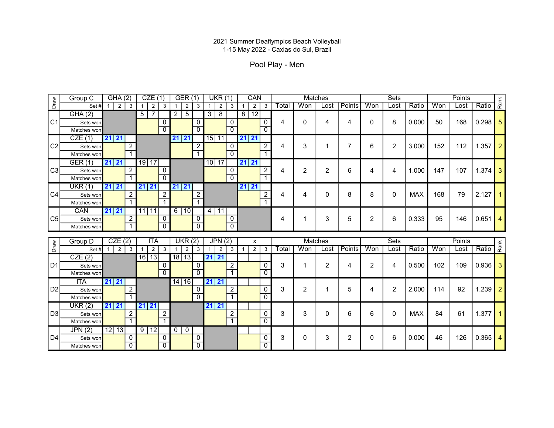Pool Play - Men

|                | Group C                 | GHA(2)                                                | CZE(1)              |                     | <b>GER (1)</b>                   |                     |       | <b>UKR (1)</b>                    |   | CAN                 |                             |       |          | Matches        |        |                | Sets         |            |     | Points |                 |      |
|----------------|-------------------------|-------------------------------------------------------|---------------------|---------------------|----------------------------------|---------------------|-------|-----------------------------------|---|---------------------|-----------------------------|-------|----------|----------------|--------|----------------|--------------|------------|-----|--------|-----------------|------|
| Draw           | Set#                    | $\vert$ 2<br>$\mathbf{3}$                             | 2<br>$\overline{1}$ | 3                   | 2                                | 3                   |       | 2<br>$\mathbf{3}$                 |   | 2 <sup>1</sup>      | 3                           | Total | Won      | Lost           | Points | Won            | Lost         | Ratio      | Won | Lost   | Ratio           | Rank |
|                | GHA(2)                  |                                                       | $\overline{7}$<br>5 |                     | $\overline{2}$<br>5              |                     | 3     | 8                                 | 8 | 12                  |                             |       |          |                |        |                |              |            |     |        |                 |      |
| C1             | Sets won                |                                                       |                     | 0                   |                                  | 0                   |       | $\mathbf{0}$                      |   |                     | 0                           | 4     | $\Omega$ | 4              | 4      | 0              | 8            | 0.000      | 50  | 168    | $0.298$ 5       |      |
|                | Matches won             |                                                       |                     | $\mathbf{0}$        |                                  |                     |       | $\mathbf{0}$                      |   |                     | $\overline{0}$              |       |          |                |        |                |              |            |     |        |                 |      |
|                | CZE(1)                  | $21 \ 21$                                             |                     |                     | 21 21                            |                     | 15 11 |                                   |   | 21 21               |                             |       |          |                |        |                |              |            |     |        |                 |      |
| C <sub>2</sub> | Sets won                | 2                                                     |                     |                     |                                  | 2                   |       | $\mathbf 0$                       |   |                     | 2                           | 4     | 3        |                |        | 6              | 2            | 3.000      | 152 | 112    | 1.357           |      |
|                | Matches won             |                                                       |                     |                     |                                  |                     |       | $\overline{0}$                    |   |                     |                             |       |          |                |        |                |              |            |     |        |                 |      |
|                | GER(1)                  | 21 21                                                 | 19 17               |                     |                                  |                     | 10 17 |                                   |   | 21 21               |                             |       |          |                |        |                |              |            |     |        |                 |      |
| C <sub>3</sub> | Sets won                | 2                                                     |                     | $\Omega$            |                                  |                     |       | $\mathbf{0}$                      |   |                     | $\overline{2}$              | 4     | 2        | $\overline{2}$ | 6      | 4              | 4            | 1.000      | 147 | 107    | $1.374$ 3       |      |
|                | Matches won             |                                                       |                     | $\overline{0}$      |                                  |                     |       | $\overline{0}$                    |   |                     |                             |       |          |                |        |                |              |            |     |        |                 |      |
|                | UKR(1)                  | 21 21                                                 | 21 21               |                     | 21 21                            |                     |       |                                   |   | 21 21               |                             |       |          |                |        |                |              |            |     |        |                 |      |
| <sub>C4</sub>  | Sets won                | $\overline{2}$                                        |                     | $\overline{2}$      |                                  | $\overline{2}$      |       |                                   |   |                     | $\overline{2}$              | 4     | 4        | 0              | 8      | 8              | 0            | <b>MAX</b> | 168 | 79     | 2.127           |      |
|                | Matches won             |                                                       |                     |                     |                                  |                     |       |                                   |   |                     | 7                           |       |          |                |        |                |              |            |     |        |                 |      |
|                | CAN                     | 21 21                                                 | $11$   11           |                     | $6 \mid 10$                      |                     | 4 11  |                                   |   |                     |                             |       |          |                |        |                |              |            |     |        |                 |      |
|                |                         |                                                       |                     |                     |                                  |                     |       |                                   |   |                     |                             |       |          |                |        |                |              |            |     |        |                 |      |
| C <sub>5</sub> | Sets won                | $\overline{2}$                                        |                     | 0                   |                                  | 0                   |       | $\mathbf{0}$                      |   |                     |                             | 4     |          | 3              | 5      | $\overline{2}$ | 6            | 0.333      | 95  | 146    | 0.651           |      |
|                | Matches won             |                                                       |                     | $\overline{0}$      |                                  |                     |       | $\overline{0}$                    |   |                     |                             |       |          |                |        |                |              |            |     |        |                 |      |
|                |                         |                                                       | <b>ITA</b>          |                     |                                  |                     |       |                                   |   |                     |                             |       | Matches  |                |        |                |              |            |     | Points |                 |      |
|                | Group D<br>Set#         | CZE(2)<br>$\vert$ 2<br>$\mathbf{3}$<br>$\overline{1}$ | $\overline{1}$      | $\mathbf{3}$        | <b>UKR (2)</b><br>$\mathbf{1}$   | $\mathbf{3}$        | -1    | JPN(2)<br>$\overline{\mathbf{3}}$ |   | x<br>$\overline{2}$ | $\overline{3}$              | Total | Won      | Lost           | Points | Won            | Sets<br>Lost | Ratio      | Won | Lost   | Ratio           |      |
| Draw           |                         |                                                       | $\overline{2}$      |                     | $\overline{2}$                   |                     |       | 2                                 |   |                     |                             |       |          |                |        |                |              |            |     |        |                 | Rank |
| D1             | CZE(2)<br>Sets won      |                                                       | 16 13               | 0                   | 18 13                            | 0                   | 21 21 | $\overline{2}$                    |   |                     | 0                           | 3     |          | $\overline{2}$ | 4      | $\overline{2}$ | 4            | 0.500      | 102 | 109    | $0.936$ 3       |      |
|                | Matches won             |                                                       |                     | $\Omega$            |                                  |                     |       | $\overline{1}$                    |   |                     | $\overline{0}$              |       |          |                |        |                |              |            |     |        |                 |      |
|                | <b>ITA</b>              | 21 21                                                 |                     |                     | 14 16                            |                     | 21 21 |                                   |   |                     |                             |       |          |                |        |                |              |            |     |        |                 |      |
| D <sub>2</sub> | Sets won                | 2                                                     |                     |                     |                                  | 0                   |       | $\overline{2}$                    |   |                     | $\overline{0}$              | 3     | 2        |                | 5      | 4              | 2            | 2.000      | 114 | 92     | 1.239           |      |
|                | Matches won             |                                                       |                     |                     |                                  |                     |       | $\overline{1}$                    |   |                     | $\overline{0}$              |       |          |                |        |                |              |            |     |        |                 |      |
|                | UKR(2)                  | 21 21                                                 | 21 21               |                     |                                  |                     | 21 21 |                                   |   |                     |                             |       |          |                |        |                |              |            |     |        |                 |      |
|                | Sets won                | 2                                                     |                     | 2                   |                                  |                     |       | 2                                 |   |                     | 0                           | 3     | 3        | 0              | 6      | 6              | $\mathbf{0}$ | <b>MAX</b> | 84  | 61     | 1.377 $\vert$ 1 |      |
| D3             | Matches won             |                                                       |                     |                     |                                  |                     |       | $\overline{1}$                    |   |                     | $\overline{0}$              |       |          |                |        |                |              |            |     |        |                 |      |
|                | JPN(2)                  | 12 13                                                 | 9 12                |                     | 0 <sup>1</sup><br>$\overline{0}$ |                     |       |                                   |   |                     |                             |       |          |                |        |                |              |            |     |        |                 |      |
| D4             | Sets won<br>Matches won | 0<br>$\overline{0}$                                   |                     | 0<br>$\overline{0}$ |                                  | 0<br>$\overline{0}$ |       |                                   |   |                     | $\pmb{0}$<br>$\overline{0}$ | 3     | 0        | 3              | 2      | 0              | 6            | 0.000      | 46  | 126    | 0.365           |      |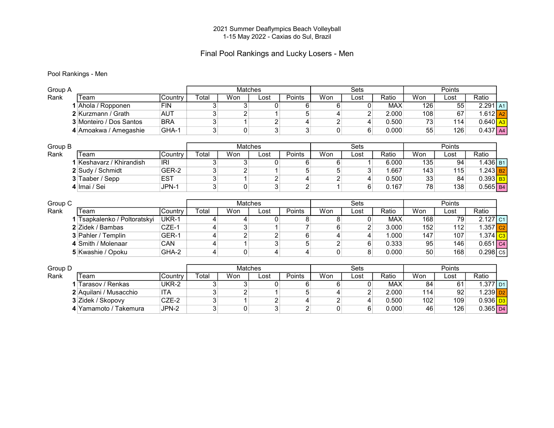#### Final Pool Rankings and Lucky Losers - Men

#### Pool Rankings - Men

| Group A |                                            |                |              | Matches        |                |                     |                | <b>Sets</b> |                |           | Points     |                            |  |
|---------|--------------------------------------------|----------------|--------------|----------------|----------------|---------------------|----------------|-------------|----------------|-----------|------------|----------------------------|--|
| Rank    | Геаm                                       | Country        | Total        | Won            | Lost           | Points              | Won            | Lost        | Ratio          | Won       | Lost       | Ratio                      |  |
|         | Ahola / Ropponen                           | <b>FIN</b>     | 3            | 3 <sup>1</sup> | 0              | 6                   | 6              | 0           | <b>MAX</b>     | 126       | 55         | $2.291$ A1                 |  |
|         | 2 Kurzmann / Grath                         | <b>AUT</b>     | 3            | 2              |                | 5                   |                | 2           | 2.000          | 108       | 67         | $1.612$ A <sub>2</sub>     |  |
|         | 3 Monteiro / Dos Santos                    | <b>BRA</b>     | 3            |                | 2              | 4                   | $\overline{c}$ | 4           | 0.500          | 73        | 114        | $0.640$ $A3$               |  |
|         | 4 Amoakwa / Amegashie                      | GHA-1          | 3            | $\overline{0}$ | 3              | 3                   | $\Omega$       | 6           | 0.000          | 55        | 126        | $0.437$ A4                 |  |
|         |                                            |                |              |                |                |                     |                |             |                |           |            |                            |  |
| Group B |                                            |                |              | Matches        |                |                     |                | <b>Sets</b> |                |           | Points     |                            |  |
| Rank    | Team                                       | Country        | Total        | Won            | Lost           | Points              | Won            | Lost        | Ratio          | Won       | Lost       | Ratio                      |  |
|         | 1 Keshavarz / Khirandish                   | IRI            | 3            | 3              | 0              | 6                   | 6              |             | 6.000          | 135       | 94         | $1.436$ B1                 |  |
|         | 2 Sudy / Schmidt                           | GER-2          | 3            | $\overline{2}$ |                | 5                   | 5              | 3           | 1.667          | 143       | 115        | $1.243$ B <sub>2</sub>     |  |
|         | 3 Taaber / Sepp                            | <b>EST</b>     | $\mathbf{3}$ | 1              | $\overline{c}$ | 4                   | 2              | 4           | 0.500          | 33        | 84         | $0.393$ B <sub>3</sub>     |  |
|         | 4 Imai / Sei                               | JPN-1          | 3            | 0              | 3              | $\overline{2}$      |                | 6           | 0.167          | 78        | 138        | $0.565$ B4                 |  |
|         |                                            |                |              |                |                |                     |                |             |                |           |            |                            |  |
|         |                                            |                |              |                |                |                     |                |             |                |           |            |                            |  |
| Group C |                                            |                |              | <b>Matches</b> |                |                     |                | <b>Sets</b> |                |           | Points     |                            |  |
| Rank    | Геаm                                       | Country        | Total        | Won            | Lost           | Points              | Won            | ∟ost        | Ratio          | Won       | Lost       | Ratio                      |  |
|         | Tsapkalenko / Poltoratskyi                 | UKR-1          | 4            | 4              | 0              | 8                   | 8              | 0           | <b>MAX</b>     | 168       | 79         | $2.127$ C1                 |  |
|         | 2 Zidek / Bambas                           | CZE-1          | 4            | $\overline{3}$ |                |                     | 6              | 2           | 3.000          | 152       | 112        | $1.357$ <sub>C2</sub>      |  |
|         | 3 Pahler / Templin                         | GER-1          | 4            | $\overline{c}$ | 2              | 6                   |                | 4           | 1.000          | 147       | 107        | $1.374$ $C3$               |  |
|         | 4 Smith / Molenaar                         | CAN            | 4            |                | 3              | 5                   | $\overline{c}$ | 6           | 0.333          | 95        | 146        | $0.651$ C <sub>4</sub>     |  |
|         | 5 Kwashie / Opoku                          | GHA-2          | 4            | 0              | 4              | 4                   | $\Omega$       | 8           | 0.000          | 50        | 168        | $0.298$ $C5$               |  |
|         |                                            |                |              |                |                |                     |                |             |                |           |            |                            |  |
| Group D |                                            |                |              | Matches        |                |                     |                | Sets        |                |           | Points     |                            |  |
| Rank    | Геаm                                       | Country        | Total        | Won            | Lost           | Points              | Won            | ∟ost        | Ratio          | Won       | Lost       | Ratio                      |  |
|         | Tarasov / Renkas                           | UKR-2          | 3            | 3              | 0              | 6                   | 6              | 0           | <b>MAX</b>     | 84        | 61         | $1.377$ D1                 |  |
|         | 2 Aquilani / Musacchio                     | <b>ITA</b>     | 3            | 2              |                | 5                   |                | 2           | 2.000          | 114       | 92         | $1.239$ D <sub>2</sub>     |  |
|         | 3 Zidek / Skopovy<br>4 Yamamoto / Takemura | CZE-2<br>JPN-2 | 3<br>3       | $\mathbf 0$    | 2<br>3         | 4<br>$\overline{2}$ | 2<br>0         | 4<br>6      | 0.500<br>0.000 | 102<br>46 | 109<br>126 | $0.936$ $D3$<br>$0.365$ D4 |  |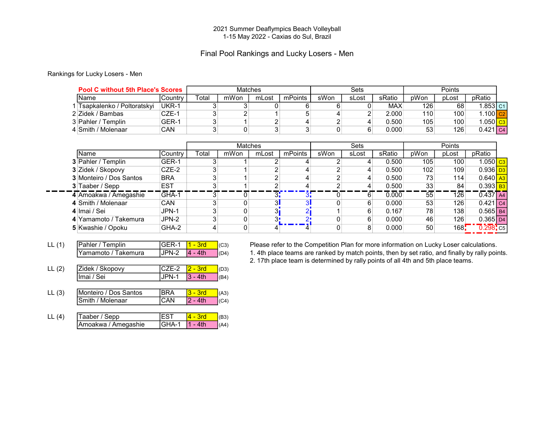#### Final Pool Rankings and Lucky Losers - Men

#### Rankings for Lucky Losers - Men

| <b>Pool C without 5th Place's Scores</b> |         |             |      | Matches |         |      | Sets  |            |      | Points |                        |  |
|------------------------------------------|---------|-------------|------|---------|---------|------|-------|------------|------|--------|------------------------|--|
| IName                                    | Country | $\tau$ otal | mWon | mLost   | mPoints | sWon | sLost | sRatio     | pWon | pLost  | pRatio                 |  |
| Tsapkalenko / Poltoratskyi               | UKR-1   |             |      |         |         |      |       | <b>MAX</b> | 126  | 68     | .853 c1                |  |
| 2 Zidek / Bambas                         | CZE-1   |             |      |         |         |      |       | 2.000      | 110  | 100    | .100 <b>c</b> 2        |  |
| 3 Pahler / Templin                       | GER-1   |             |      |         |         |      |       | 0.500      | 105  | 100    | .050 <mark>  cз</mark> |  |
| 4 Smith / Molenaar                       | CAN     |             |      |         |         |      |       | 0.000      | 53   | 126    | 0.421   c4             |  |

|                                |                 |       |      | <b>Matches</b> |         |      | <b>Sets</b> |        |      | Points |                                |  |
|--------------------------------|-----------------|-------|------|----------------|---------|------|-------------|--------|------|--------|--------------------------------|--|
| <b>Name</b>                    | <b>ICountry</b> | Γotal | mWon | mLost          | mPoints | sWon | sLost       | sRatio | pWon | pLost  | pRatio                         |  |
| <b>3</b> Pahler / Templin      | GER-1           |       |      |                |         |      |             | 0.500  | 105  | 100    | I.050 <mark>∣сз∣</mark>        |  |
| 3 Zidek / Skopovy              | CZE-2           | 3     |      |                |         |      |             | 0.500  | 102  | 109    | $0.936$ D <sub>3</sub>         |  |
| <b>3</b> Monteiro / Dos Santos | <b>BRA</b>      |       |      |                |         |      |             | 0.500  | 73   | 114    | $0.640$ $\big $ A <sub>3</sub> |  |
| 3 Taaber / Sepp                | <b>EST</b>      | З     |      |                |         |      |             | 0.500  | 33   | 84     | $0.393$ B <sub>3</sub>         |  |
| 4 Amoakwa / Amegashie          | GHA-1           |       |      | 3:             |         |      |             | 0.000  | 55   | 126    | 0.437 A4                       |  |
| 4 Smith / Molenaar             | <b>CAN</b>      |       |      | ЗΙ             |         |      |             | 0.000  | 53   | 126    | 0.421 c4                       |  |
| 4 Imai / Sei                   | JPN-1           | 3     |      |                |         |      |             | 0.167  | 78   | 138    | $0.565$ B4                     |  |
| 4 Yamamoto / Takemura          | JPN-2           | 3     |      |                |         |      |             | 0.000  | 46   | 126    | $0.365$ D <sub>4</sub>         |  |
| 5 Kwashie / Opoku              | GHA-2           | 4     |      |                |         |      |             | 0.000  | 50   | 168!   | $0.298$ <sub>c5</sub>          |  |

- 
- LL (2)  $\frac{\text{Zidek / Skopovy}}{\text{Imai / Sei}} \frac{\text{CZE-2} \quad \text{2 3rd}}{\text{JPN-1} \quad \text{3 4th}} (D3)$ **Imai / Sei JPN-1 3 - 4th (B4)**
- LL (3) Monteiro / Dos Santos BRA  $\begin{array}{|l|l|}\n\hline\n3-3rd & (A3) \\
\hline\nSmith / Molenaar & (CAN) & 2-4th & (C4)\n\hline\n\end{array}$  $\boxed{\text{Smith / Molecular}}$   $\boxed{\text{CAN}}$   $\boxed{\text{2 - 4th}}$   $\boxed{\text{CA}}$
- LL (4)  $\boxed{\text{Taaber}/\text{Sep}}$  EST  $\boxed{4 3rd}$  (B3) Amoakwa / Amegashie GHA-1 1 - 4th (A4)

LL (1) Pahler / Templin  $|\text{GER-1} \; |1 - 3\text{rd} \; |$  (c3) Please refer to the Competition Plan for more information on Lucky Loser calculations.

 $\overline{Y}$ amamoto / Takemura  $\overline{J}$ JPN-2  $\overline{A}$  - 4th  $\overline{I}$ (D4) 1. 4th place teams are ranked by match points, then by set ratio, and finally by rally points.

2. 17th place team is determined by rally points of all 4th and 5th place teams.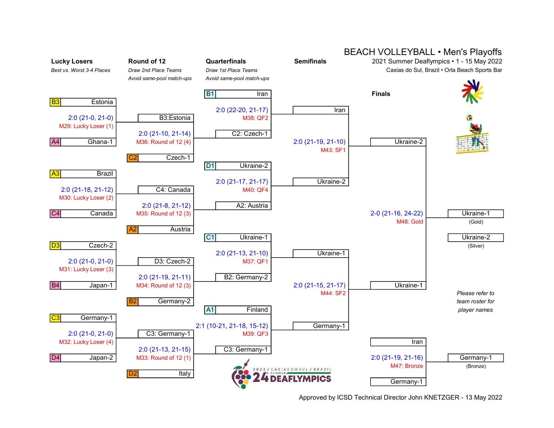

#### BEACH VOLLEYBALL • Men's Playoffs

Approved by ICSD Technical Director John KNETZGER - 13 May 2022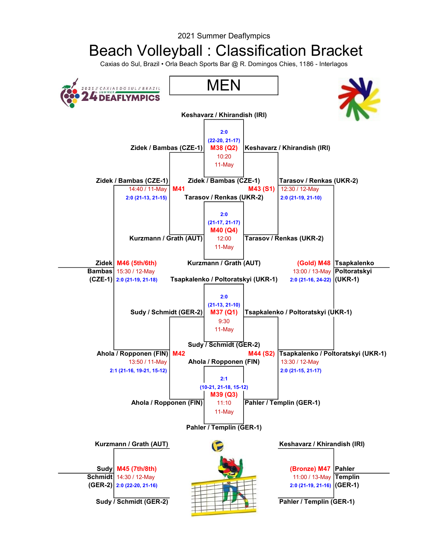## Beach Volleyball : Classification Bracket

Caxias do Sul, Brazil • Orla Beach Sports Bar @ R. Domingos Chies, 1186 - Interlagos

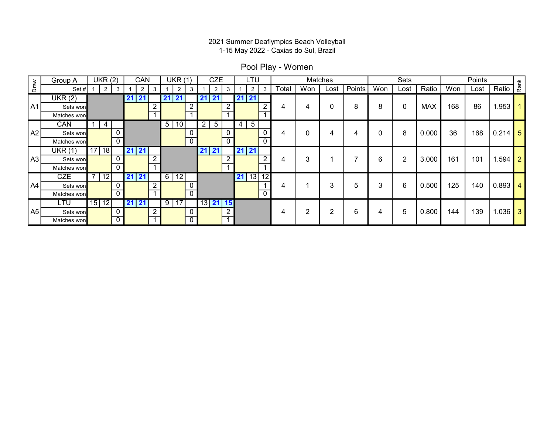Pool Play - Women

|      | Group A     | UKR(2)              |                 | CAN                 |    | UKR(1)         |                  |                   | <b>CZE</b>     |     |                | LTU             |                |       |        | Matches        |                 |     | Sets           |            |     | Points |           | $\check{\texttt{r}}$ |  |
|------|-------------|---------------------|-----------------|---------------------|----|----------------|------------------|-------------------|----------------|-----|----------------|-----------------|----------------|-------|--------|----------------|-----------------|-----|----------------|------------|-----|--------|-----------|----------------------|--|
| Draw | Set#        | $\overline{2}$<br>3 |                 | $\overline{2}$<br>3 |    | $\overline{2}$ | 3                |                   | $\overline{2}$ | 3   |                | $\overline{2}$  | 3              | Total | Won    | Lost           | Points          | Won | Lost           | Ratio      | Won | Lost   | Ratio     | Ra                   |  |
|      | UKR(2)      |                     | 2 <sup>1</sup>  | 21                  | 41 | $\vert$ 21     |                  | 21                | 21             |     | $21$ 21        |                 |                |       |        |                |                 |     |                |            |     |        |           |                      |  |
| A1   | Sets won    |                     |                 | $\Omega$            |    |                | $\overline{2}$   |                   |                | ່າ  |                |                 | າ              |       | 4      | 0              | 8               | 8   | 0              | <b>MAX</b> | 168 | 86     | 1.953     |                      |  |
|      | Matches won |                     |                 |                     |    |                |                  |                   |                |     |                |                 |                |       |        |                |                 |     |                |            |     |        |           |                      |  |
|      | CAN         | 4                   |                 |                     |    | 5 10           |                  | 2                 | $\overline{5}$ |     | $\overline{4}$ | $5\phantom{.0}$ |                |       |        |                |                 |     |                |            |     |        |           |                      |  |
| A2   | Sets won    | $\mathbf{0}$        |                 |                     |    |                | 0                |                   |                |     |                |                 | 0              |       | 0      | 4              | 4               |     | 8              | 0.000      | 36  | 168    | $0.214$ 5 |                      |  |
|      | Matches won | $\overline{0}$      |                 |                     |    |                | $\overline{0}$   |                   |                | C   |                |                 | $\mathbf{0}$   |       |        |                |                 |     |                |            |     |        |           |                      |  |
|      | UKR(1)      | $17$   18           | l 21            | $\sqrt{21}$         |    |                |                  | 21                | 21             |     | $21$ 21        |                 |                |       |        |                |                 |     |                |            |     |        |           |                      |  |
| A3   | Sets won    | $\mathbf 0$         |                 |                     |    |                |                  |                   |                | - 2 |                |                 | n              |       | 3      |                |                 | 6   | $\overline{2}$ | 3.000      | 161 | 101    | $1.594$ 2 |                      |  |
|      | Matches won | $\overline{0}$      |                 |                     |    |                |                  |                   |                |     |                |                 |                |       |        |                |                 |     |                |            |     |        |           |                      |  |
|      | <b>CZE</b>  | 12 <sub>1</sub>     | l 2'            | 21                  |    | 6 12           |                  |                   |                |     |                | $21$ 13 12      |                |       |        |                |                 |     |                |            |     |        |           |                      |  |
| A4   | Sets won    | $\mathbf 0$         |                 | $\sqrt{2}$          |    |                |                  |                   |                |     |                |                 |                |       |        | 3              | 5               | 3   | 6              | 0.500      | 125 | 140    | $0.893$ 4 |                      |  |
|      | Matches won | $\overline{0}$      |                 |                     |    |                | $\overline{0}$   |                   |                |     |                |                 | $\overline{0}$ |       |        |                |                 |     |                |            |     |        |           |                      |  |
|      | LTU         | 15 12               | $\overline{21}$ | 21                  |    | 9 17           |                  | $\sqrt{13}$ 21 15 |                |     |                |                 |                |       |        |                |                 |     |                |            |     |        |           |                      |  |
| A5   | Sets won    | $\mathbf 0$         |                 | $\sqrt{2}$          |    |                | $\boldsymbol{0}$ |                   |                |     |                |                 |                | 4     | ົ<br>∠ | $\overline{2}$ | $6\phantom{1}6$ | 4   | 5              | 0.800      | 144 | 139    | $1.036$ 3 |                      |  |
|      | Matches won | $\mathbf{0}$        |                 |                     |    |                | $\overline{0}$   |                   |                |     |                |                 |                |       |        |                |                 |     |                |            |     |        |           |                      |  |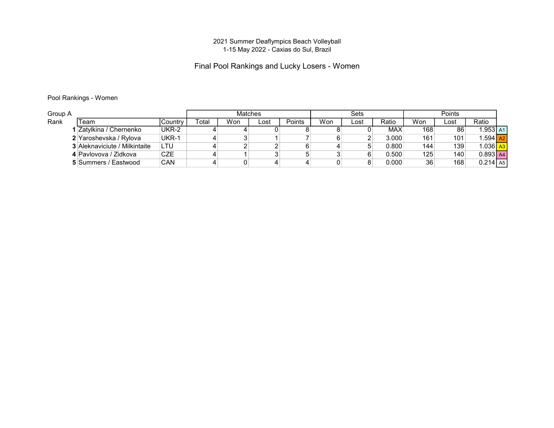#### Final Pool Rankings and Lucky Losers - Women

#### Pool Rankings - Women

| Group A |                                      |            |             |     | Matches |        |     | Sets |            |     | Points |                         |  |
|---------|--------------------------------------|------------|-------------|-----|---------|--------|-----|------|------------|-----|--------|-------------------------|--|
| Rank    | Team                                 | Country    | $\tau$ otal | Won | Lost    | Points | Won | Lost | Ratio      | Won | ∟ost   | Ratio                   |  |
|         | Zatylkina / Chernenko                | UKR-2      |             |     |         |        |     |      | <b>MAX</b> | 168 | 86     | .953 A1                 |  |
|         | 2 Yaroshevska / Rylova               | UKR-1      |             |     |         |        |     |      | 3.000      | 161 | 101    | $.594$ $Az$             |  |
|         | <b>3 Aleknaviciute / Milkintaite</b> | LTU        |             |     |         |        |     |      | 0.800      | 144 | 139    | l.036 <mark>  a3</mark> |  |
|         | 4 Pavlovova / Zidkova                | CZE        |             |     |         |        |     |      | 0.500      | 125 | 140    | $0.893$ A4              |  |
|         | 5 Summers / Eastwood                 | <b>CAN</b> |             |     |         | 4      |     |      | 0.000      | 36  | 168    | $0.214$ A5              |  |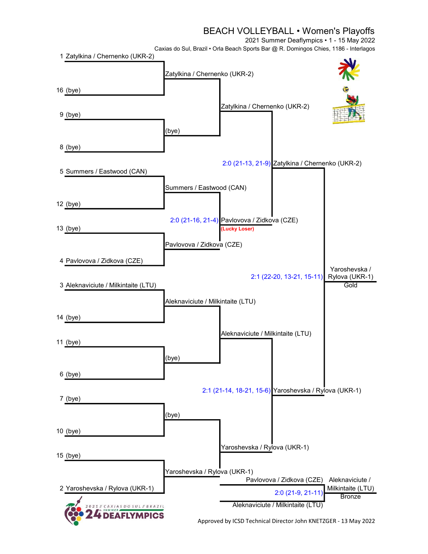#### BEACH VOLLEYBALL • Women's Playoffs

2021 Summer Deaflympics • 1 - 15 May 2022

Caxias do Sul, Brazil • Orla Beach Sports Bar @ R. Domingos Chies, 1186 - Interlagos



Approved by ICSD Technical Director John KNETZGER - 13 May 2022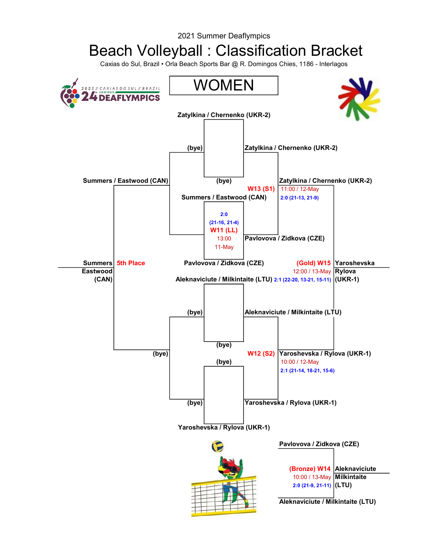## Beach Volleyball : Classification Bracket

Caxias do Sul, Brazil • Orla Beach Sports Bar @ R. Domingos Chies, 1186 - Interlagos